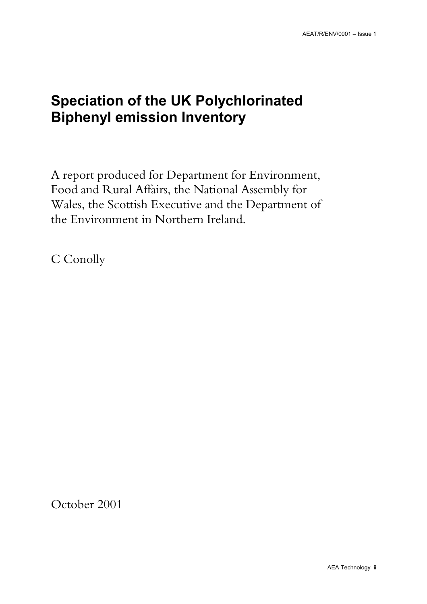## **Speciation of the UK Polychlorinated Biphenyl emission Inventory**

A report produced for Department for Environment, Food and Rural Affairs, the National Assembly for Wales, the Scottish Executive and the Department of the Environment in Northern Ireland.

C Conolly

October 2001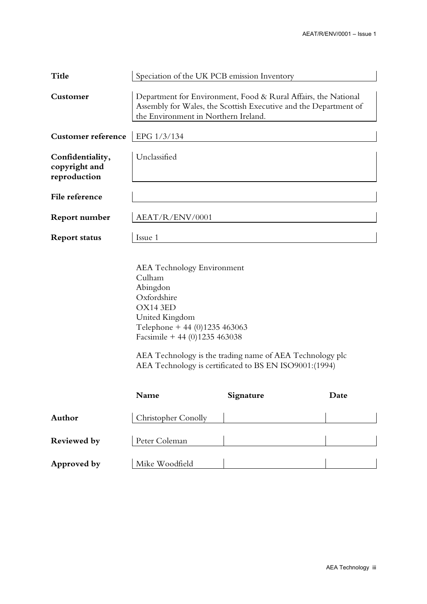| <b>Title</b>                                      | Speciation of the UK PCB emission Inventory                                                                                                                                                                                                                                                  |           |      |  |
|---------------------------------------------------|----------------------------------------------------------------------------------------------------------------------------------------------------------------------------------------------------------------------------------------------------------------------------------------------|-----------|------|--|
| Customer                                          | Department for Environment, Food & Rural Affairs, the National<br>Assembly for Wales, the Scottish Executive and the Department of<br>the Environment in Northern Ireland.                                                                                                                   |           |      |  |
| <b>Customer reference</b>                         | EPG 1/3/134                                                                                                                                                                                                                                                                                  |           |      |  |
| Confidentiality,<br>copyright and<br>reproduction | Unclassified                                                                                                                                                                                                                                                                                 |           |      |  |
| File reference                                    |                                                                                                                                                                                                                                                                                              |           |      |  |
| <b>Report number</b>                              | AEAT/R/ENV/0001                                                                                                                                                                                                                                                                              |           |      |  |
| <b>Report status</b>                              | Issue 1                                                                                                                                                                                                                                                                                      |           |      |  |
|                                                   | <b>AEA</b> Technology Environment<br>Culham<br>Abingdon<br>Oxfordshire<br>OX14 3ED<br>United Kingdom<br>Telephone + 44 (0)1235 463063<br>Facsimile + 44 (0)1235 463038<br>AEA Technology is the trading name of AEA Technology plc<br>AEA Technology is certificated to BS EN ISO9001:(1994) |           |      |  |
|                                                   | Name                                                                                                                                                                                                                                                                                         | Signature | Date |  |
| Author                                            | Christopher Conolly                                                                                                                                                                                                                                                                          |           |      |  |
| Reviewed by                                       | Peter Coleman                                                                                                                                                                                                                                                                                |           |      |  |
| Approved by                                       | Mike Woodfield                                                                                                                                                                                                                                                                               |           |      |  |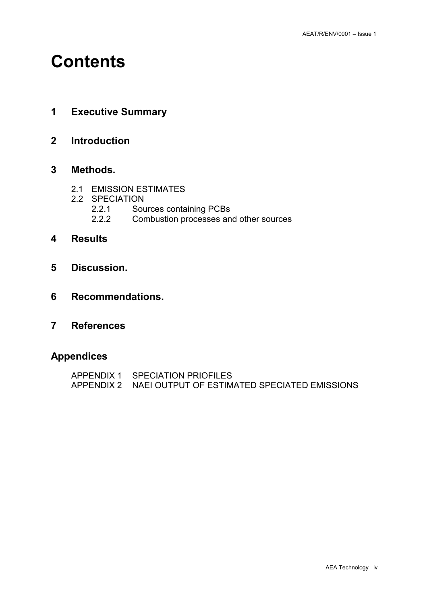## **Contents**

- **1 Executive Summary**
- **2 Introduction**

### **3 Methods.**

- 2.1 EMISSION ESTIMATES
- 2.2 SPECIATION<br>2.2.1 Sou
	- 2.2.1 Sources containing PCBs<br>2.2.2 Combustion processes an
	- Combustion processes and other sources
- **4 Results**
- **5 Discussion.**
- **6 Recommendations.**
- **7 References**

### **Appendices**

| APPENDIX 1 SPECIATION PRIOFILES                         |
|---------------------------------------------------------|
| APPENDIX 2 NAEL OUTPUT OF ESTIMATED SPECIATED EMISSIONS |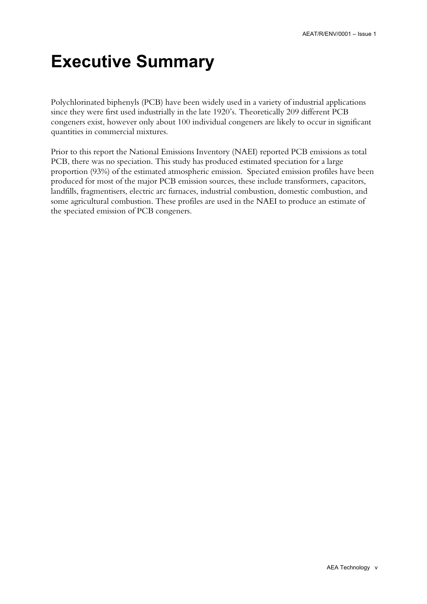# **Executive Summary**

Polychlorinated biphenyls (PCB) have been widely used in a variety of industrial applications since they were first used industrially in the late 1920's. Theoretically 209 different PCB congeners exist, however only about 100 individual congeners are likely to occur in significant quantities in commercial mixtures.

Prior to this report the National Emissions Inventory (NAEI) reported PCB emissions as total PCB, there was no speciation. This study has produced estimated speciation for a large proportion (93%) of the estimated atmospheric emission. Speciated emission profiles have been produced for most of the major PCB emission sources, these include transformers, capacitors, landfills, fragmentisers, electric arc furnaces, industrial combustion, domestic combustion, and some agricultural combustion. These profiles are used in the NAEI to produce an estimate of the speciated emission of PCB congeners.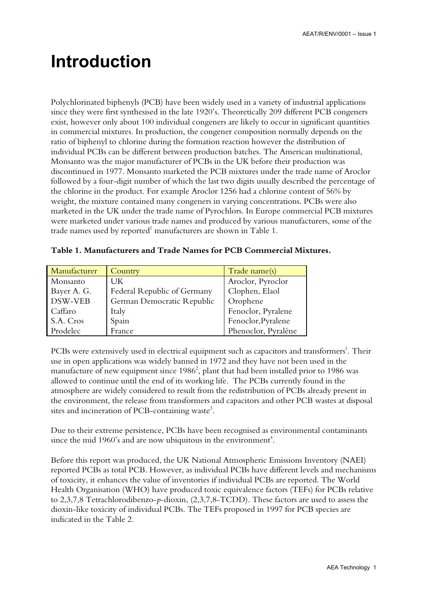## **Introduction**

Polychlorinated biphenyls (PCB) have been widely used in a variety of industrial applications since they were first synthesised in the late 1920's. Theoretically 209 different PCB congeners exist, however only about 100 individual congeners are likely to occur in significant quantities in commercial mixtures. In production, the congener composition normally depends on the ratio of biphenyl to chlorine during the formation reaction however the distribution of individual PCBs can be different between production batches. The American multinational, Monsanto was the major manufacturer of PCBs in the UK before their production was discontinued in 1977. Monsanto marketed the PCB mixtures under the trade name of Aroclor followed by a four-digit number of which the last two digits usually described the percentage of the chlorine in the product. For example Aroclor 1256 had a chlorine content of 56% by weight, the mixture contained many congeners in varying concentrations. PCBs were also marketed in the UK under the trade name of Pyrochlors. In Europe commercial PCB mixtures were marketed under various trade names and produced by various manufacturers, some of the trade names used by reported $^1$  manufacturers are shown in Table 1.

| Manufacturer | Country                     | Trade name(s)       |
|--------------|-----------------------------|---------------------|
| Monsanto     | UK                          | Aroclor, Pyroclor   |
| Bayer A. G.  | Federal Republic of Germany | Clophen, Elaol      |
| DSW-VEB      | German Democratic Republic  | Orophene            |
| Caffaro      | Italy                       | Fenoclor, Pyralene  |
| S.A. Cros    | Spain                       | Fenoclor, Pyralene  |
| Prodelec     | France                      | Phenoclor, Pyraléne |

PCBs were extensively used in electrical equipment such as capacitors and transformers<sup>1</sup>. Their use in open applications was widely banned in 1972 and they have not been used in the manufacture of new equipment since 1986 $^2$ , plant that had been installed prior to 1986 was allowed to continue until the end of its working life. The PCBs currently found in the atmosphere are widely considered to result from the redistribution of PCBs already present in the environment, the release from transformers and capacitors and other PCB wastes at disposal sites and incineration of PCB-containing waste<sup>3</sup>.

Due to their extreme persistence, PCBs have been recognised as environmental contaminants since the mid 1960's and are now ubiquitous in the environment<sup>4</sup>.

Before this report was produced, the UK National Atmospheric Emissions Inventory (NAEI) reported PCBs as total PCB. However, as individual PCBs have different levels and mechanisms of toxicity, it enhances the value of inventories if individual PCBs are reported. The World Health Organisation (WHO) have produced toxic equivalence factors (TEFs) for PCBs relative to 2,3,7,8 Tetrachlorodibenzo-*p*-dioxin, (2,3,7,8-TCDD). These factors are used to assess the dioxin-like toxicity of individual PCBs. The TEFs proposed in 1997 for PCB species are indicated in the Table 2.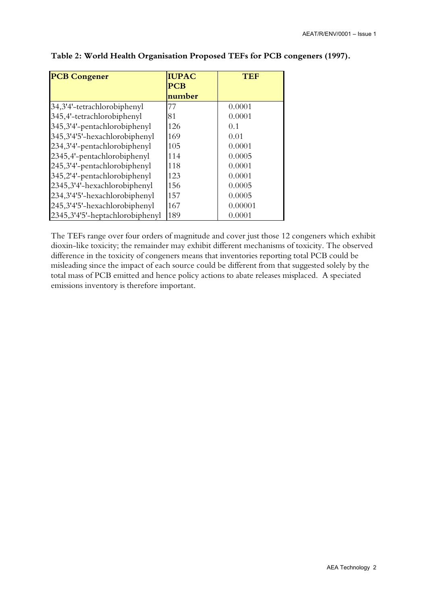| <b>PCB Congener</b>             | <b>IUPAC</b>         | TEF     |
|---------------------------------|----------------------|---------|
|                                 | <b>PCB</b><br>number |         |
| 34,3'4'-tetrachlorobiphenyl     | 77                   | 0.0001  |
| 345,4'-tetrachlorobiphenyl      | 81                   | 0.0001  |
| 345,3'4'-pentachlorobiphenyl    | 126                  | 0.1     |
| 345,3'4'5'-hexachlorobiphenyl   | 169                  | 0.01    |
| 234,3'4'-pentachlorobiphenyl    | 105                  | 0.0001  |
| 2345,4'-pentachlorobiphenyl     | 114                  | 0.0005  |
| 245,3'4'-pentachlorobiphenyl    | 118                  | 0.0001  |
| 345,2'4'-pentachlorobiphenyl    | 123                  | 0.0001  |
| 2345,3'4'-hexachlorobiphenyl    | 156                  | 0.0005  |
| 234,3'4'5'-hexachlorobiphenyl   | 157                  | 0.0005  |
| 245,3'4'5'-hexachlorobiphenyl   | 167                  | 0.00001 |
| 2345,3'4'5'-heptachlorobiphenyl | 189                  | 0.0001  |

#### **Table 2: World Health Organisation Proposed TEFs for PCB congeners (1997).**

The TEFs range over four orders of magnitude and cover just those 12 congeners which exhibit dioxin-like toxicity; the remainder may exhibit different mechanisms of toxicity. The observed difference in the toxicity of congeners means that inventories reporting total PCB could be misleading since the impact of each source could be different from that suggested solely by the total mass of PCB emitted and hence policy actions to abate releases misplaced. A speciated emissions inventory is therefore important.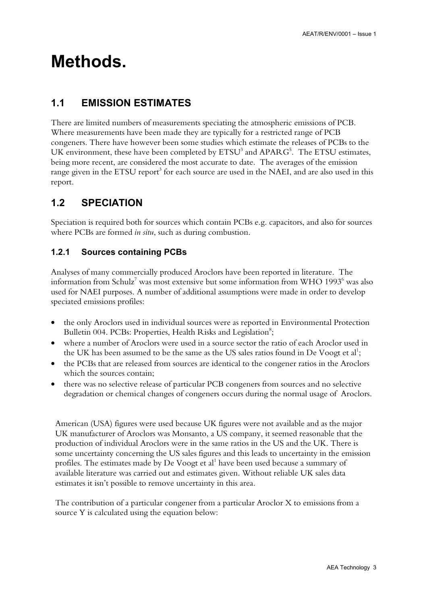## **Methods.**

### **1.1 EMISSION ESTIMATES**

There are limited numbers of measurements speciating the atmospheric emissions of PCB. Where measurements have been made they are typically for a restricted range of PCB congeners. There have however been some studies which estimate the releases of PCBs to the UK environment, these have been completed by  $ETSU<sup>3</sup>$  and  $APARG<sup>5</sup>$ . The ETSU estimates, being more recent, are considered the most accurate to date. The averages of the emission range given in the ETSU report $^3$  for each source are used in the NAEI, and are also used in this report.

### **1.2 SPECIATION**

Speciation is required both for sources which contain PCBs e.g. capacitors, and also for sources where PCBs are formed *in situ*, such as during combustion.

### **1.2.1 Sources containing PCBs**

Analyses of many commercially produced Aroclors have been reported in literature. The information from Schulz $^7$  was most extensive but some information from WHO 1993 $^6$  was also used for NAEI purposes. A number of additional assumptions were made in order to develop speciated emissions profiles:

- the only Aroclors used in individual sources were as reported in Environmental Protection Bulletin 004. PCBs: Properties, Health Risks and Legislation<sup>8</sup>;
- where a number of Aroclors were used in a source sector the ratio of each Aroclor used in the UK has been assumed to be the same as the US sales ratios found in De Voogt et al $^{\rm 1};$
- the PCBs that are released from sources are identical to the congener ratios in the Aroclors which the sources contain;
- there was no selective release of particular PCB congeners from sources and no selective degradation or chemical changes of congeners occurs during the normal usage of Aroclors.

American (USA) figures were used because UK figures were not available and as the major UK manufacturer of Aroclors was Monsanto, a US company, it seemed reasonable that the production of individual Aroclors were in the same ratios in the US and the UK. There is some uncertainty concerning the US sales figures and this leads to uncertainty in the emission profiles. The estimates made by De Voogt et al $^{\rm 1}$  have been used because a summary of available literature was carried out and estimates given. Without reliable UK sales data estimates it isn't possible to remove uncertainty in this area.

The contribution of a particular congener from a particular Aroclor X to emissions from a source Y is calculated using the equation below: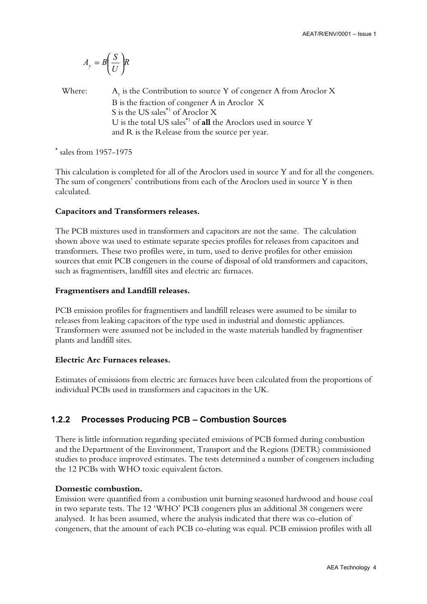$$
A_{y} = B\left(\frac{S}{U}\right)R
$$

Where:  $A_y$  is the Contribution to source Y of congener A from Aroclor X B is the fraction of congener A in Aroclor X S is the US sales\*1 of Aroclor X U is the total US sales\*1 of **all** the Aroclors used in source Y and R is the Release from the source per year.

\* sales from 1957-1975

This calculation is completed for all of the Aroclors used in source Y and for all the congeners. The sum of congeners' contributions from each of the Aroclors used in source Y is then calculated.

#### **Capacitors and Transformers releases.**

The PCB mixtures used in transformers and capacitors are not the same. The calculation shown above was used to estimate separate species profiles for releases from capacitors and transformers. These two profiles were, in turn, used to derive profiles for other emission sources that emit PCB congeners in the course of disposal of old transformers and capacitors, such as fragmentisers, landfill sites and electric arc furnaces.

#### **Fragmentisers and Landfill releases.**

PCB emission profiles for fragmentisers and landfill releases were assumed to be similar to releases from leaking capacitors of the type used in industrial and domestic appliances. Transformers were assumed not be included in the waste materials handled by fragmentiser plants and landfill sites.

#### **Electric Arc Furnaces releases.**

Estimates of emissions from electric arc furnaces have been calculated from the proportions of individual PCBs used in transformers and capacitors in the UK.

#### **1.2.2 Processes Producing PCB – Combustion Sources**

There is little information regarding speciated emissions of PCB formed during combustion and the Department of the Environment, Transport and the Regions (DETR) commissioned studies to produce improved estimates. The tests determined a number of congeners including the 12 PCBs with WHO toxic equivalent factors.

#### **Domestic combustion.**

Emission were quantified from a combustion unit burning seasoned hardwood and house coal in two separate tests. The 12 'WHO' PCB congeners plus an additional 38 congeners were analysed. It has been assumed, where the analysis indicated that there was co-elution of congeners, that the amount of each PCB co-eluting was equal. PCB emission profiles with all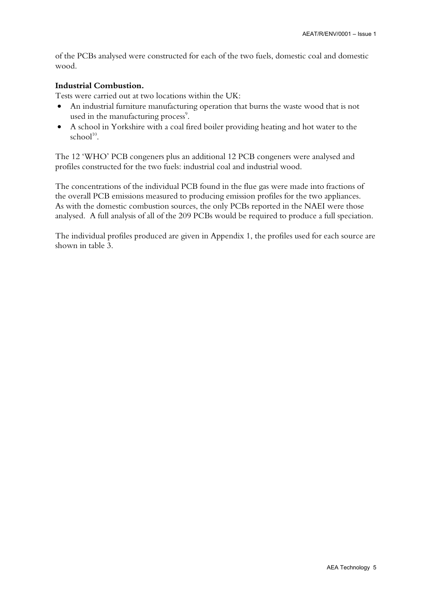of the PCBs analysed were constructed for each of the two fuels, domestic coal and domestic wood.

#### **Industrial Combustion.**

Tests were carried out at two locations within the UK:

- An industrial furniture manufacturing operation that burns the waste wood that is not used in the manufacturing process<sup>9</sup>.
- A school in Yorkshire with a coal fired boiler providing heating and hot water to the school<sup>10</sup>.

The 12 'WHO' PCB congeners plus an additional 12 PCB congeners were analysed and profiles constructed for the two fuels: industrial coal and industrial wood.

The concentrations of the individual PCB found in the flue gas were made into fractions of the overall PCB emissions measured to producing emission profiles for the two appliances. As with the domestic combustion sources, the only PCBs reported in the NAEI were those analysed. A full analysis of all of the 209 PCBs would be required to produce a full speciation.

The individual profiles produced are given in Appendix 1, the profiles used for each source are shown in table 3.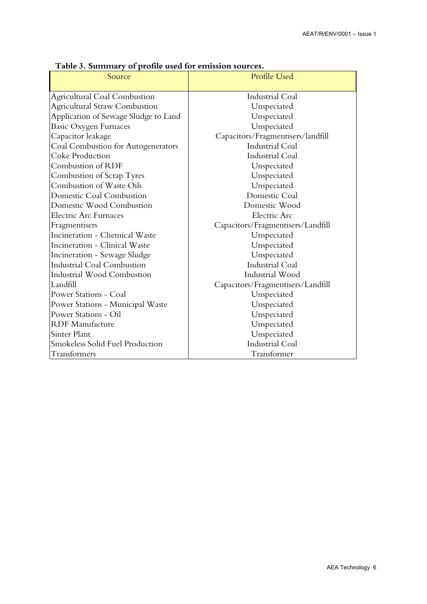| Source                               | Profile Used                      |  |  |
|--------------------------------------|-----------------------------------|--|--|
|                                      |                                   |  |  |
| Agricultural Coal Combustion         | <b>Industrial Coal</b>            |  |  |
| Agricultural Straw Combustion        | Unspeciated                       |  |  |
| Application of Sewage Sludge to Land | Unspeciated                       |  |  |
| <b>Basic Oxygen Furnaces</b>         | Unspeciated                       |  |  |
| Capacitor leakage                    | Capacitors/Fragmentisers/landfill |  |  |
| Coal Combustion for Autogenerators   | <b>Industrial Coal</b>            |  |  |
| Coke Production                      | <b>Industrial Coal</b>            |  |  |
| Combustion of RDF                    | Unspeciated                       |  |  |
| Combustion of Scrap Tyres            | Unspeciated                       |  |  |
| Combustion of Waste Oils             | Unspeciated                       |  |  |
| Domestic Coal Combustion             | Domestic Coal                     |  |  |
| Domestic Wood Combustion             | Domestic Wood                     |  |  |
| Electric Arc Furnaces                | Electric Arc                      |  |  |
| Fragmentisers                        | Capacitors/Fragmentisers/Landfill |  |  |
| Incineration - Chemical Waste        | Unspeciated                       |  |  |
| Incineration - Clinical Waste        | Unspeciated                       |  |  |
| Incineration - Sewage Sludge         | Unspeciated                       |  |  |
| Industrial Coal Combustion           | <b>Industrial Coal</b>            |  |  |
| Industrial Wood Combustion           | Industrial Wood                   |  |  |
| Landfill                             | Capacitors/Fragmentisers/Landfill |  |  |
| Power Stations - Coal                | Unspeciated                       |  |  |
| Power Stations - Municipal Waste     | Unspeciated                       |  |  |
| Power Stations - Oil                 | Unspeciated                       |  |  |
| <b>RDF</b> Manufacture               | Unspeciated                       |  |  |
| Sinter Plant                         | Unspeciated                       |  |  |
| Smokeless Solid Fuel Production      | <b>Industrial Coal</b>            |  |  |
| Transformers                         | Transformer                       |  |  |

**Table 3. Summary of profile used for emission sources.**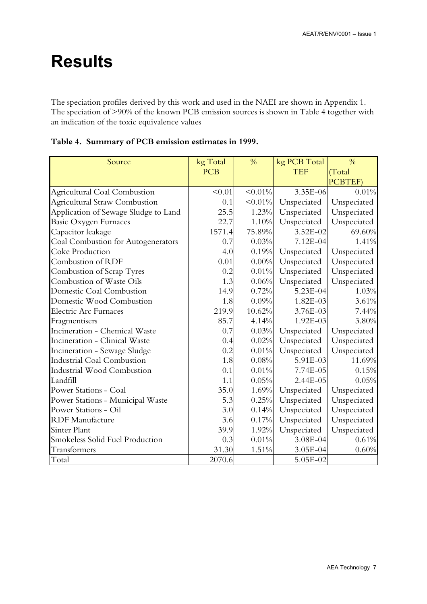# **Results**

The speciation profiles derived by this work and used in the NAEI are shown in Appendix 1. The speciation of >90% of the known PCB emission sources is shown in Table 4 together with an indication of the toxic equivalence values

| Source                               | kg Total   | $\frac{0}{0}$ | kg PCB Total | $\frac{0}{0}$ |
|--------------------------------------|------------|---------------|--------------|---------------|
|                                      | <b>PCB</b> |               | <b>TEF</b>   | (Total        |
|                                      |            |               |              | PCBTEF)       |
| <b>Agricultural Coal Combustion</b>  | < 0.01     | $< 0.01\%$    | 3.35E-06     | 0.01%         |
| <b>Agricultural Straw Combustion</b> | 0.1        | $< 0.01\%$    | Unspeciated  | Unspeciated   |
| Application of Sewage Sludge to Land | 25.5       | 1.23%         | Unspeciated  | Unspeciated   |
| Basic Oxygen Furnaces                | 22.7       | 1.10%         | Unspeciated  | Unspeciated   |
| Capacitor leakage                    | 1571.4     | 75.89%        | $3.52E - 02$ | 69.60%        |
| Coal Combustion for Autogenerators   | 0.7        | 0.03%         | 7.12E-04     | 1.41%         |
| Coke Production                      | 4.0        | 0.19%         | Unspeciated  | Unspeciated   |
| Combustion of RDF                    | 0.01       | $0.00\%$      | Unspeciated  | Unspeciated   |
| Combustion of Scrap Tyres            | 0.2        | 0.01%         | Unspeciated  | Unspeciated   |
| Combustion of Waste Oils             | 1.3        | 0.06%         | Unspeciated  | Unspeciated   |
| Domestic Coal Combustion             | 14.9       | 0.72%         | 5.23E-04     | 1.03%         |
| Domestic Wood Combustion             | 1.8        | 0.09%         | 1.82E-03     | 3.61%         |
| <b>Electric Arc Furnaces</b>         | 219.9      | 10.62%        | $3.76E - 03$ | 7.44%         |
| Fragmentisers                        | 85.7       | 4.14%         | 1.92E-03     | 3.80%         |
| Incineration - Chemical Waste        | 0.7        | 0.03%         | Unspeciated  | Unspeciated   |
| Incineration - Clinical Waste        | 0.4        | 0.02%         | Unspeciated  | Unspeciated   |
| Incineration - Sewage Sludge         | 0.2        | 0.01%         | Unspeciated  | Unspeciated   |
| Industrial Coal Combustion           | 1.8        | 0.08%         | 5.91E-03     | 11.69%        |
| Industrial Wood Combustion           | 0.1        | 0.01%         | 7.74E-05     | 0.15%         |
| Landfill                             | 1.1        | 0.05%         | 2.44E-05     | 0.05%         |
| <b>Power Stations - Coal</b>         | 35.0       | 1.69%         | Unspeciated  | Unspeciated   |
| Power Stations - Municipal Waste     | 5.3        | 0.25%         | Unspeciated  | Unspeciated   |
| <b>Power Stations - Oil</b>          | 3.0        | 0.14%         | Unspeciated  | Unspeciated   |
| <b>RDF</b> Manufacture               | 3.6        | 0.17%         | Unspeciated  | Unspeciated   |
| <b>Sinter Plant</b>                  | 39.9       | 1.92%         | Unspeciated  | Unspeciated   |
| Smokeless Solid Fuel Production      | 0.3        | 0.01%         | 3.08E-04     | 0.61%         |
| Transformers                         | 31.30      | 1.51%         | 3.05E-04     | 0.60%         |
| Total                                | 2070.6     |               | 5.05E-02     |               |

#### **Table 4. Summary of PCB emission estimates in 1999.**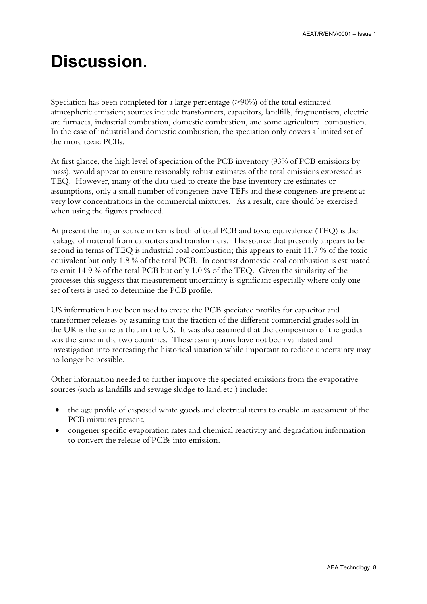# **Discussion.**

Speciation has been completed for a large percentage (>90%) of the total estimated atmospheric emission; sources include transformers, capacitors, landfills, fragmentisers, electric arc furnaces, industrial combustion, domestic combustion, and some agricultural combustion. In the case of industrial and domestic combustion, the speciation only covers a limited set of the more toxic PCBs.

At first glance, the high level of speciation of the PCB inventory (93% of PCB emissions by mass), would appear to ensure reasonably robust estimates of the total emissions expressed as TEQ. However, many of the data used to create the base inventory are estimates or assumptions, only a small number of congeners have TEFs and these congeners are present at very low concentrations in the commercial mixtures. As a result, care should be exercised when using the figures produced.

At present the major source in terms both of total PCB and toxic equivalence (TEQ) is the leakage of material from capacitors and transformers. The source that presently appears to be second in terms of TEQ is industrial coal combustion; this appears to emit 11.7 % of the toxic equivalent but only 1.8 % of the total PCB. In contrast domestic coal combustion is estimated to emit 14.9 % of the total PCB but only 1.0 % of the TEQ. Given the similarity of the processes this suggests that measurement uncertainty is significant especially where only one set of tests is used to determine the PCB profile.

US information have been used to create the PCB speciated profiles for capacitor and transformer releases by assuming that the fraction of the different commercial grades sold in the UK is the same as that in the US. It was also assumed that the composition of the grades was the same in the two countries. These assumptions have not been validated and investigation into recreating the historical situation while important to reduce uncertainty may no longer be possible.

Other information needed to further improve the speciated emissions from the evaporative sources (such as landfills and sewage sludge to land.etc.) include:

- the age profile of disposed white goods and electrical items to enable an assessment of the PCB mixtures present,
- congener specific evaporation rates and chemical reactivity and degradation information to convert the release of PCBs into emission.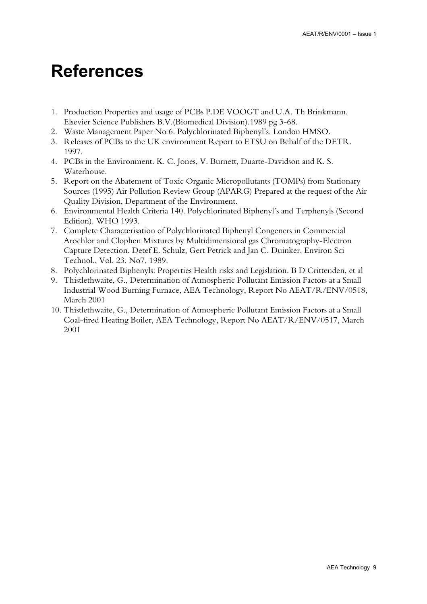## **References**

- 1. Production Properties and usage of PCBs P.DE VOOGT and U.A. Th Brinkmann. Elsevier Science Publishers B.V.(Biomedical Division).1989 pg 3-68.
- 2. Waste Management Paper No 6. Polychlorinated Biphenyl's. London HMSO.
- 3. Releases of PCBs to the UK environment Report to ETSU on Behalf of the DETR. 1997.
- 4. PCBs in the Environment. K. C. Jones, V. Burnett, Duarte-Davidson and K. S. Waterhouse.
- 5. Report on the Abatement of Toxic Organic Micropollutants (TOMPs) from Stationary Sources (1995) Air Pollution Review Group (APARG) Prepared at the request of the Air Quality Division, Department of the Environment.
- 6. Environmental Health Criteria 140. Polychlorinated Biphenyl's and Terphenyls (Second Edition). WHO 1993.
- 7. Complete Characterisation of Polychlorinated Biphenyl Congeners in Commercial Arochlor and Clophen Mixtures by Multidimensional gas Chromatography-Electron Capture Detection. Detef E. Schulz, Gert Petrick and Jan C. Duinker. Environ Sci Technol., Vol. 23, No7, 1989.
- 8. Polychlorinated Biphenyls: Properties Health risks and Legislation. B D Crittenden, et al
- 9. Thistlethwaite, G., Determination of Atmospheric Pollutant Emission Factors at a Small Industrial Wood Burning Furnace, AEA Technology, Report No AEAT/R/ENV/0518, March 2001
- 10. Thistlethwaite, G., Determination of Atmospheric Pollutant Emission Factors at a Small Coal-fired Heating Boiler, AEA Technology, Report No AEAT/R/ENV/0517, March 2001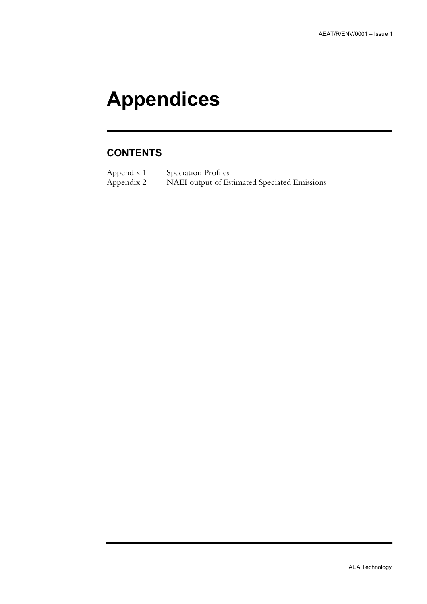# **Appendices**

### **CONTENTS**

Appendix 1 Speciation Profiles<br>Appendix 2 NAEI output of Es NAEI output of Estimated Speciated Emissions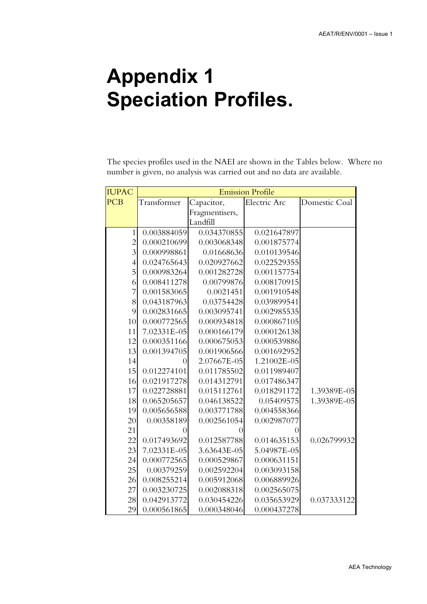# **Appendix 1 Speciation Profiles.**

The species profiles used in the NAEI are shown in the Tables below. Where no number is given, no analysis was carried out and no data are available.

| <b>IUPAC</b>   | <b>Emission Profile</b> |                |              |               |
|----------------|-------------------------|----------------|--------------|---------------|
| <b>PCB</b>     | Transformer             | Capacitor,     | Electric Arc | Domestic Coal |
|                |                         | Fragmentisers, |              |               |
|                |                         | Landfill       |              |               |
| $\mathbf{1}$   | 0.003884059             | 0.034370855    | 0.021647897  |               |
| $\overline{2}$ | 0.000210699             | 0.003068348    | 0.001875774  |               |
| $\overline{3}$ | 0.000998861             | 0.01668636     | 0.010139546  |               |
| $\overline{4}$ | 0.024765643             | 0.020927662    | 0.022529355  |               |
| 5              | 0.000983264             | 0.001282728    | 0.001157754  |               |
| 6              | 0.008411278             | 0.00799876     | 0.008170915  |               |
| 7              | 0.001583065             | 0.0021451      | 0.001910548  |               |
| 8              | 0.043187963             | 0.03754428     | 0.039899541  |               |
| 9              | 0.002831665             | 0.003095741    | 0.002985535  |               |
| 10             | 0.000772565             | 0.000934818    | 0.000867105  |               |
| 11             | 7.02331E-05             | 0.000166179    | 0.000126138  |               |
| 12             | 0.000351166             | 0.000675053    | 0.000539886  |               |
| 13             | 0.001394705             | 0.001906566    | 0.001692952  |               |
| 14             | $\overline{0}$          | 2.07667E-05    | 1.21002E-05  |               |
| 15             | 0.012274101             | 0.011785502    | 0.011989407  |               |
| 16             | 0.021917278             | 0.014312791    | 0.017486347  |               |
| 17             | 0.022728881             | 0.015112761    | 0.018291172  | 1.39389E-05   |
| 18             | 0.065205657             | 0.046138522    | 0.05409575   | 1.39389E-05   |
| 19             | 0.005656588             | 0.003771788    | 0.004558366  |               |
| 20             | 0.00358189              | 0.002561054    | 0.002987077  |               |
| 21             | $\left( \right)$        |                | 0            |               |
| 22             | 0.017493692             | 0.012587788    | 0.014635153  | 0.026799932   |
| 23             | 7.02331E-05             | 3.63643E-05    | 5.04987E-05  |               |
| 24             | 0.000772565             | 0.000529867    | 0.000631151  |               |
| 25             | 0.00379259              | 0.002592204    | 0.003093158  |               |
| 26             | 0.008255214             | 0.005912068    | 0.006889926  |               |
| 27             | 0.003230725             | 0.002088318    | 0.002565075  |               |
| 28             | 0.042913772             | 0.030454226    | 0.035653929  | 0.037333122   |
| 29             | 0.000561865             | 0.000348046    | 0.000437278  |               |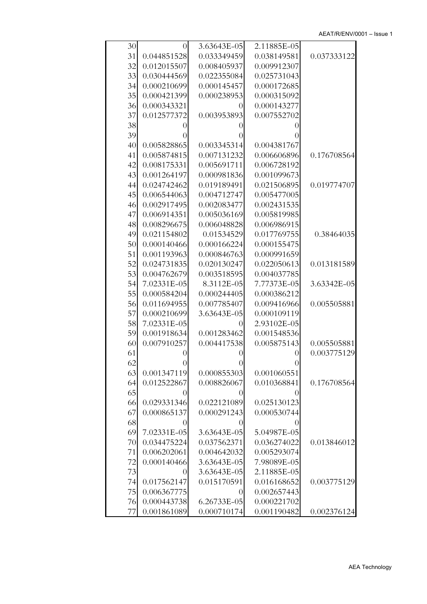| 30 | $\theta$         | 3.63643E-05      | 2.11885E-05      |             |
|----|------------------|------------------|------------------|-------------|
| 31 | 0.044851528      | 0.033349459      | 0.038149581      | 0.037333122 |
| 32 | 0.012015507      | 0.008405937      | 0.009912307      |             |
| 33 | 0.030444569      | 0.022355084      | 0.025731043      |             |
| 34 | 0.000210699      | 0.000145457      | 0.000172685      |             |
| 35 | 0.000421399      | 0.000238953      | 0.000315092      |             |
| 36 | 0.000343321      | $\theta$         | 0.000143277      |             |
| 37 | 0.012577372      | 0.003953893      | 0.007552702      |             |
| 38 | 0                | $_{0}$           | 0                |             |
| 39 | $\left( \right)$ | $\left( \right)$ |                  |             |
| 40 | 0.005828865      | 0.003345314      | 0.004381767      |             |
| 41 | 0.005874815      | 0.007131232      | 0.006606896      | 0.176708564 |
| 42 | 0.008175331      | 0.005691711      | 0.006728192      |             |
| 43 | 0.001264197      | 0.000981836      | 0.001099673      |             |
| 44 | 0.024742462      | 0.019189491      | 0.021506895      | 0.019774707 |
| 45 | 0.006544063      | 0.004712747      | 0.005477005      |             |
| 46 | 0.002917495      | 0.002083477      | 0.002431535      |             |
| 47 | 0.006914351      | 0.005036169      | 0.005819985      |             |
| 48 | 0.008296675      | 0.006048828      | 0.006986915      |             |
| 49 | 0.021154802      | 0.01534529       | 0.017769755      | 0.38464035  |
| 50 | 0.000140466      | 0.000166224      | 0.000155475      |             |
| 51 | 0.001193963      | 0.000846763      | 0.000991659      |             |
| 52 | 0.024731835      | 0.020130247      | 0.022050613      | 0.013181589 |
| 53 | 0.004762679      | 0.003518595      | 0.004037785      |             |
| 54 | 7.02331E-05      | 8.3112E-05       | 7.77373E-05      | 3.63342E-05 |
| 55 | 0.000584204      | 0.000244405      | 0.000386212      |             |
| 56 | 0.011694955      | 0.007785407      | 0.009416966      | 0.005505881 |
| 57 | 0.000210699      | 3.63643E-05      | 0.000109119      |             |
| 58 | 7.02331E-05      | $\theta$         | 2.93102E-05      |             |
| 59 | 0.001918634      | 0.001283462      | 0.001548536      |             |
| 60 | 0.007910257      | 0.004417538      | 0.005875143      | 0.005505881 |
| 61 | 0                | $\left( \right)$ | $_{0}$           | 0.003775129 |
| 62 | U                |                  |                  |             |
| 63 | 0.001347119      | 0.000855303      | 0.001060551      |             |
| 64 | 0.012522867      | 0.008826067      | 0.010368841      | 0.176708564 |
| 65 | $\theta$         | $\theta$         | $\left( \right)$ |             |
| 66 | 0.029331346      | 0.022121089      | 0.025130123      |             |
| 67 | 0.000865137      | 0.000291243      | 0.000530744      |             |
| 68 | 0                |                  |                  |             |
| 69 | 7.02331E-05      | 3.63643E-05      | 5.04987E-05      |             |
| 70 | 0.034475224      | 0.037562371      | 0.036274022      | 0.013846012 |
| 71 | 0.006202061      | 0.004642032      | 0.005293074      |             |
| 72 | 0.000140466      | 3.63643E-05      | 7.98089E-05      |             |
| 73 | $\left( \right)$ | 3.63643E-05      | 2.11885E-05      |             |
| 74 | 0.017562147      | 0.015170591      | 0.016168652      | 0.003775129 |
| 75 | 0.006367775      | $\theta$         | 0.002657443      |             |
| 76 | 0.000443738      | 6.26733E-05      | 0.000221702      |             |
| 77 | 0.001861089      | 0.000710174      | 0.001190482      | 0.002376124 |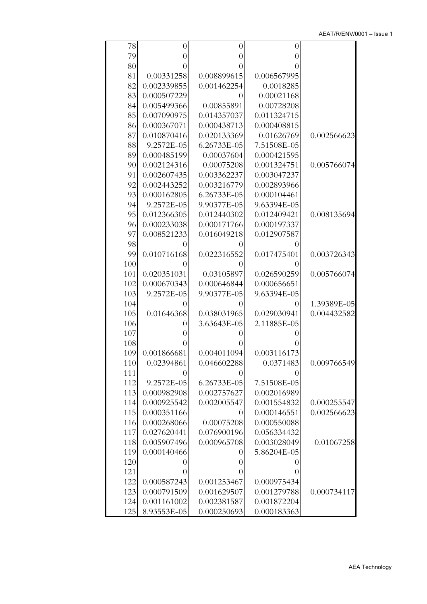| 78  | $\overline{0}$   | $\theta$         | 0                |             |
|-----|------------------|------------------|------------------|-------------|
| 79  | $_{()}$          | $\overline{0}$   | 0                |             |
| 80  | $\left( \right)$ | $_{0}$           | 0                |             |
| 81  | 0.00331258       | 0.008899615      | 0.006567995      |             |
| 82  | 0.002339855      | 0.001462254      | 0.0018285        |             |
| 83  | 0.000507229      | $\theta$         | 0.00021168       |             |
| 84  | 0.005499366      | 0.00855891       | 0.00728208       |             |
| 85  | 0.007090975      | 0.014357037      | 0.011324715      |             |
| 86  | 0.000367071      | 0.000438713      | 0.000408815      |             |
| 87  | 0.010870416      | 0.020133369      | 0.01626769       | 0.002566623 |
| 88  | 9.2572E-05       | 6.26733E-05      | 7.51508E-05      |             |
| 89  | 0.000485199      | 0.00037604       | 0.000421595      |             |
| 90  | 0.002124316      | 0.00075208       | 0.001324751      | 0.005766074 |
| 91  | 0.002607435      | 0.003362237      | 0.003047237      |             |
| 92  | 0.002443252      | 0.003216779      | 0.002893966      |             |
| 93  | 0.000162805      | 6.26733E-05      | 0.000104461      |             |
| 94  | 9.2572E-05       | 9.90377E-05      | 9.63394E-05      |             |
| 95  | 0.012366305      | 0.012440302      | 0.012409421      | 0.008135694 |
| 96  | 0.000233038      | 0.000171766      | 0.000197337      |             |
| 97  | 0.008521233      | 0.016049218      | 0.012907587      |             |
| 98  |                  |                  |                  |             |
| 99  | 0.010716168      | 0.022316552      | 0.017475401      | 0.003726343 |
| 100 | $_{()}$          | $\left( \right)$ | $\theta$         |             |
| 101 | 0.020351031      | 0.03105897       | 0.026590259      | 0.005766074 |
| 102 | 0.000670343      | 0.000646844      | 0.000656651      |             |
| 103 | 9.2572E-05       | 9.90377E-05      | 9.63394E-05      |             |
| 104 | 0                | $\left( \right)$ | 0                | 1.39389E-05 |
| 105 | 0.01646368       | 0.038031965      | 0.029030941      | 0.004432582 |
| 106 | $\left( \right)$ | 3.63643E-05      | 2.11885E-05      |             |
| 107 | 0                |                  | $\left( \right)$ |             |
| 108 | $\left( \right)$ |                  |                  |             |
| 109 | 0.001866681      | 0.004011094      | 0.003116173      |             |
| 110 | 0.02394861       | 0.046602288      | 0.0371483        | 0.009766549 |
| 111 | $\theta$         |                  | $\left( \right)$ |             |
| 112 | 9.2572E-05       | 6.26733E-05      | 7.51508E-05      |             |
| 113 | 0.000982908      | 0.002757627      | 0.002016989      |             |
| 114 | 0.000925542      | 0.002005547      | 0.001554832      | 0.000255547 |
| 115 | 0.000351166      | $_{0}$           | 0.000146551      | 0.002566623 |
| 116 | 0.000268066      | 0.00075208       | 0.000550088      |             |
| 117 | 0.027620441      | 0.076900196      | 0.056334432      |             |
| 118 | 0.005907496      | 0.000965708      | 0.003028049      | 0.01067258  |
| 119 | 0.000140466      | $\theta$         | 5.86204E-05      |             |
| 120 | 0                | $\theta$         | $\theta$         |             |
| 121 | $\theta$         | $\overline{0}$   | 0                |             |
| 122 | 0.000587243      | 0.001253467      | 0.000975434      |             |
| 123 | 0.000791509      | 0.001629507      | 0.001279788      | 0.000734117 |
| 124 | 0.001161002      | 0.002381587      | 0.001872204      |             |
| 125 | 8.93553E-05      | 0.000250693      | 0.000183363      |             |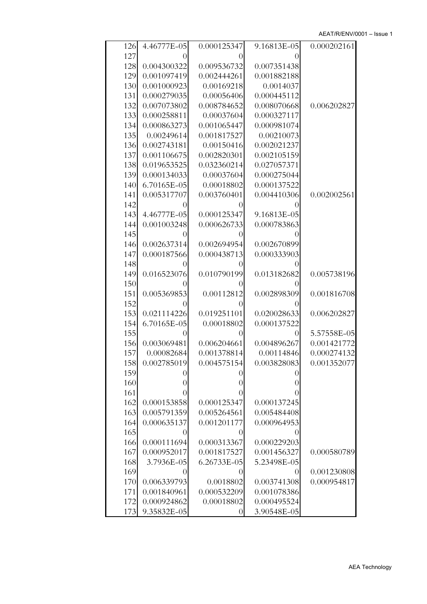| 126 | 4.46777E-05      | 0.000125347      | 9.16813E-05      | 0.000202161 |
|-----|------------------|------------------|------------------|-------------|
| 127 | $\left( \right)$ | $\left( \right)$ |                  |             |
| 128 | 0.004300322      | 0.009536732      | 0.007351438      |             |
| 129 | 0.001097419      | 0.002444261      | 0.001882188      |             |
| 130 | 0.001000923      | 0.00169218       | 0.0014037        |             |
| 131 | 0.000279035      | 0.00056406       | 0.000445112      |             |
| 132 | 0.007073802      | 0.008784652      | 0.008070668      | 0.006202827 |
| 133 | 0.000258811      | 0.00037604       | 0.000327117      |             |
| 134 | 0.000863273      | 0.001065447      | 0.000981074      |             |
| 135 | 0.00249614       | 0.001817527      | 0.00210073       |             |
| 136 | 0.002743181      | 0.00150416       | 0.002021237      |             |
| 137 | 0.001106675      | 0.002820301      | 0.002105159      |             |
|     |                  |                  |                  |             |
| 138 | 0.019653525      | 0.032360214      | 0.027057371      |             |
| 139 | 0.000134033      | 0.00037604       | 0.000275044      |             |
| 140 | 6.70165E-05      | 0.00018802       | 0.000137522      |             |
| 141 | 0.005317707      | 0.003760401      | 0.004410306      | 0.002002561 |
| 142 | 0                | $\left( \right)$ |                  |             |
| 143 | 4.46777E-05      | 0.000125347      | 9.16813E-05      |             |
| 144 | 0.001003248      | 0.000626733      | 0.000783863      |             |
| 145 |                  |                  |                  |             |
| 146 | 0.002637314      | 0.002694954      | 0.002670899      |             |
| 147 | 0.000187566      | 0.000438713      | 0.000333903      |             |
| 148 | 0                | $\left( \right)$ |                  |             |
| 149 | 0.016523076      | 0.010790199      | 0.013182682      | 0.005738196 |
| 150 | 0                | $\left( \right)$ | $\left( \right)$ |             |
| 151 | 0.005369853      | 0.00112812       | 0.002898309      | 0.001816708 |
| 152 | $\left( \right)$ |                  |                  |             |
| 153 | 0.021114226      | 0.019251101      | 0.020028633      | 0.006202827 |
| 154 | 6.70165E-05      | 0.00018802       | 0.000137522      |             |
| 155 | 0                | $\left( \right)$ | $\theta$         | 5.57558E-05 |
| 156 | 0.003069481      | 0.006204661      | 0.004896267      | 0.001421772 |
| 157 | 0.00082684       | 0.001378814      | 0.00114846       | 0.000274132 |
| 158 | 0.002785019      | 0.004575154      | 0.003828083      | 0.001352077 |
| 159 | 0                | $_{0}$           | $\left( \right)$ |             |
| 160 | 0                | $\overline{0}$   | $_{0}$           |             |
| 161 | $\theta$         | 0                |                  |             |
| 162 | 0.000153858      | 0.000125347      | 0.000137245      |             |
| 163 | 0.005791359      | 0.005264561      | 0.005484408      |             |
| 164 | 0.000635137      | 0.001201177      | 0.000964953      |             |
| 165 | 0                | $\theta$         |                  |             |
| 166 | 0.000111694      | 0.000313367      | 0.000229203      |             |
| 167 | 0.000952017      | 0.001817527      | 0.001456327      | 0.000580789 |
| 168 | 3.7936E-05       | 6.26733E-05      | 5.23498E-05      |             |
| 169 |                  | 0                | $\theta$         | 0.001230808 |
| 170 | 0.006339793      | 0.0018802        | 0.003741308      | 0.000954817 |
| 171 | 0.001840961      | 0.000532209      | 0.001078386      |             |
|     |                  |                  |                  |             |
| 172 | 0.000924862      | 0.00018802       | 0.000495524      |             |
| 173 | 9.35832E-05      | $\boldsymbol{0}$ | 3.90548E-05      |             |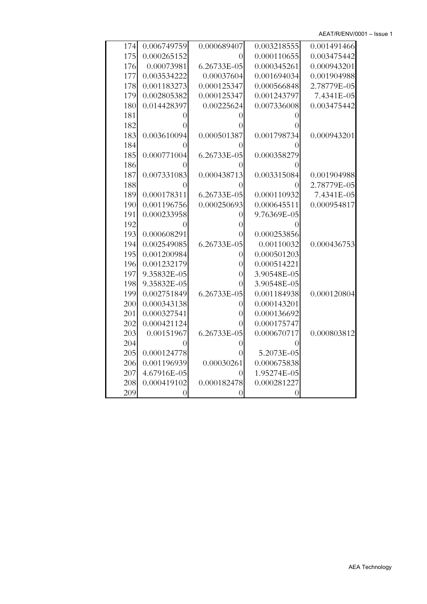AEAT/R/ENV/0001 – Issue 1

| 174 | 0.006749759      | 0.000689407      | 0.003218555      | 0.001491466 |
|-----|------------------|------------------|------------------|-------------|
| 175 | 0.000265152      | $\left( \right)$ | 0.000110655      | 0.003475442 |
| 176 | 0.00073981       | 6.26733E-05      | 0.000345261      | 0.000943201 |
| 177 | 0.003534222      | 0.00037604       | 0.001694034      | 0.001904988 |
| 178 | 0.001183273      | 0.000125347      | 0.000566848      | 2.78779E-05 |
| 179 | 0.002805382      | 0.000125347      | 0.001243797      | 7.4341E-05  |
| 180 | 0.014428397      | 0.00225624       | 0.007336008      | 0.003475442 |
| 181 |                  |                  |                  |             |
| 182 | $\theta$         |                  |                  |             |
| 183 | 0.003610094      | 0.000501387      | 0.001798734      | 0.000943201 |
| 184 | $\theta$         |                  |                  |             |
| 185 | 0.000771004      | 6.26733E-05      | 0.000358279      |             |
| 186 | $\theta$         | $\mathcal{O}$    |                  |             |
| 187 | 0.007331083      | 0.000438713      | 0.003315084      | 0.001904988 |
| 188 | $\left( \right)$ | $\mathcal{O}$    | $\left( \right)$ | 2.78779E-05 |
| 189 | 0.000178311      | 6.26733E-05      | 0.000110932      | 7.4341E-05  |
| 190 | 0.001196756      | 0.000250693      | 0.000645511      | 0.000954817 |
| 191 | 0.000233958      | $\left( \right)$ | 9.76369E-05      |             |
| 192 |                  | $\left( \right)$ |                  |             |
| 193 | 0.000608291      | $\left( \right)$ | 0.000253856      |             |
| 194 | 0.002549085      | 6.26733E-05      | 0.00110032       | 0.000436753 |
| 195 | 0.001200984      | 0                | 0.000501203      |             |
| 196 | 0.001232179      | 0                | 0.000514221      |             |
| 197 | 9.35832E-05      | $\Omega$         | 3.90548E-05      |             |
| 198 | 9.35832E-05      | 0                | 3.90548E-05      |             |
| 199 | 0.002751849      | 6.26733E-05      | 0.001184938      | 0.000120804 |
| 200 | 0.000343138      | 0                | 0.000143201      |             |
| 201 | 0.000327541      | 0                | 0.000136692      |             |
| 202 | 0.000421124      | 0                | 0.000175747      |             |
| 203 | 0.00151967       | 6.26733E-05      | 0.000670717      | 0.000803812 |
| 204 |                  | 0                |                  |             |
| 205 | 0.000124778      |                  | 5.2073E-05       |             |
| 206 | 0.001196939      | 0.00030261       | 0.000675838      |             |
| 207 | 4.67916E-05      | 0                | 1.95274E-05      |             |
| 208 | 0.000419102      | 0.000182478      | 0.000281227      |             |
| 209 |                  |                  |                  |             |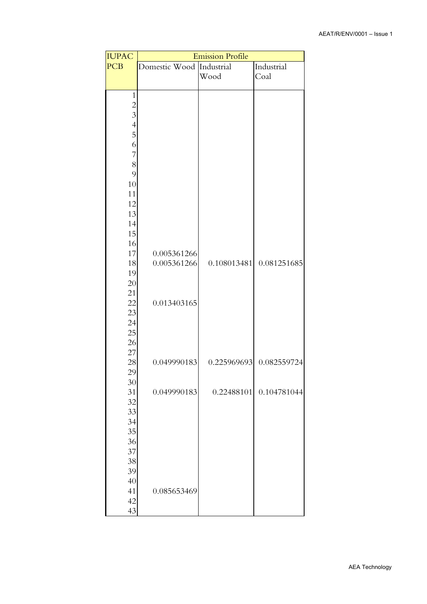| <b>IUPAC</b>   | <b>Emission Profile</b> |             |             |  |  |  |  |  |
|----------------|-------------------------|-------------|-------------|--|--|--|--|--|
| <b>PCB</b>     | Domestic Wood           | Industrial  |             |  |  |  |  |  |
|                |                         | Wood        | Coal        |  |  |  |  |  |
| $\mathbf{1}$   |                         |             |             |  |  |  |  |  |
|                |                         |             |             |  |  |  |  |  |
| $\frac{2}{3}$  |                         |             |             |  |  |  |  |  |
| $\overline{4}$ |                         |             |             |  |  |  |  |  |
| 5              |                         |             |             |  |  |  |  |  |
| 6              |                         |             |             |  |  |  |  |  |
| $\overline{7}$ |                         |             |             |  |  |  |  |  |
| 8              |                         |             |             |  |  |  |  |  |
| 9<br>10        |                         |             |             |  |  |  |  |  |
| 11             |                         |             |             |  |  |  |  |  |
| 12             |                         |             |             |  |  |  |  |  |
| 13             |                         |             |             |  |  |  |  |  |
| 14             |                         |             |             |  |  |  |  |  |
| 15             |                         |             |             |  |  |  |  |  |
| $16\,$         |                         |             |             |  |  |  |  |  |
| 17             | 0.005361266             |             |             |  |  |  |  |  |
| 18<br>19       | 0.005361266             | 0.108013481 | 0.081251685 |  |  |  |  |  |
| 20             |                         |             |             |  |  |  |  |  |
| 21             |                         |             |             |  |  |  |  |  |
| 22             | 0.013403165             |             |             |  |  |  |  |  |
| 23             |                         |             |             |  |  |  |  |  |
| 24             |                         |             |             |  |  |  |  |  |
| 25             |                         |             |             |  |  |  |  |  |
| 26<br>27       |                         |             |             |  |  |  |  |  |
| 28             | 0.049990183             | 0.225969693 | 0.082559724 |  |  |  |  |  |
| 29             |                         |             |             |  |  |  |  |  |
| 30             |                         |             |             |  |  |  |  |  |
| 31             | 0.049990183             | 0.22488101  | 0.104781044 |  |  |  |  |  |
| 32             |                         |             |             |  |  |  |  |  |
| 33             |                         |             |             |  |  |  |  |  |
| 34             |                         |             |             |  |  |  |  |  |
| 35<br>36       |                         |             |             |  |  |  |  |  |
| 37             |                         |             |             |  |  |  |  |  |
| 38             |                         |             |             |  |  |  |  |  |
| 39             |                         |             |             |  |  |  |  |  |
| 40             |                         |             |             |  |  |  |  |  |
| 41             | 0.085653469             |             |             |  |  |  |  |  |
| $42\,$         |                         |             |             |  |  |  |  |  |
| 43             |                         |             |             |  |  |  |  |  |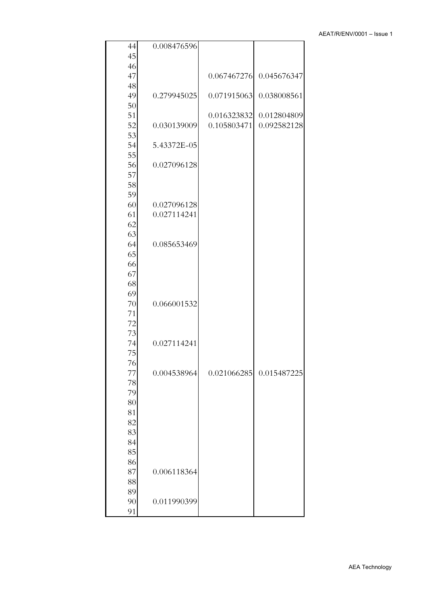| 44       | 0.008476596 |             |                            |  |
|----------|-------------|-------------|----------------------------|--|
| 45       |             |             |                            |  |
| 46       |             |             |                            |  |
| 47       |             | 0.067467276 | 0.045676347                |  |
| 48       |             |             |                            |  |
| 49       | 0.279945025 | 0.071915063 | 0.038008561                |  |
| 50<br>51 |             | 0.016323832 |                            |  |
| 52       | 0.030139009 | 0.105803471 | 0.012804809<br>0.092582128 |  |
| 53       |             |             |                            |  |
| 54       | 5.43372E-05 |             |                            |  |
| 55       |             |             |                            |  |
| 56       | 0.027096128 |             |                            |  |
| 57       |             |             |                            |  |
| 58       |             |             |                            |  |
| 59<br>60 | 0.027096128 |             |                            |  |
| 61       | 0.027114241 |             |                            |  |
| 62       |             |             |                            |  |
| 63       |             |             |                            |  |
| 64       | 0.085653469 |             |                            |  |
| 65       |             |             |                            |  |
| 66       |             |             |                            |  |
| 67       |             |             |                            |  |
| 68       |             |             |                            |  |
| 69       |             |             |                            |  |
| 70       | 0.066001532 |             |                            |  |
| 71       |             |             |                            |  |
| 72       |             |             |                            |  |
| 73       |             |             |                            |  |
| 74       | 0.027114241 |             |                            |  |
| 75       |             |             |                            |  |
| 76       |             |             |                            |  |
| 77<br>78 | 0.004538964 | 0.021066285 | 0.015487225                |  |
| 79       |             |             |                            |  |
| 80       |             |             |                            |  |
| 81       |             |             |                            |  |
| 82       |             |             |                            |  |
| 83       |             |             |                            |  |
| 84       |             |             |                            |  |
| 85       |             |             |                            |  |
| 86       |             |             |                            |  |
| 87       | 0.006118364 |             |                            |  |
| 88       |             |             |                            |  |
| 89       |             |             |                            |  |
| 90       | 0.011990399 |             |                            |  |
| 91       |             |             |                            |  |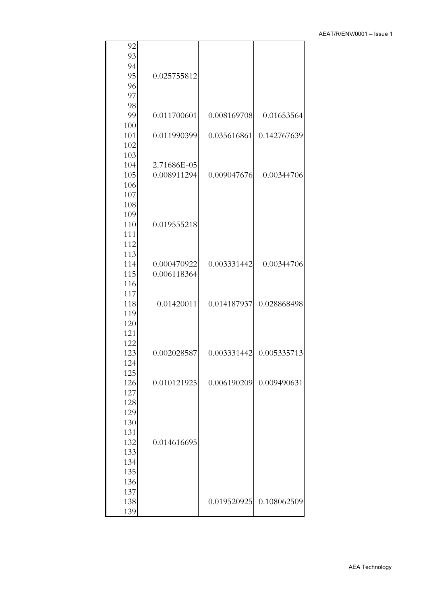| 92         |             |             |             |
|------------|-------------|-------------|-------------|
| 93         |             |             |             |
| 94         |             |             |             |
| 95         | 0.025755812 |             |             |
| 96         |             |             |             |
| 97         |             |             |             |
| 98         |             |             |             |
| 99         | 0.011700601 | 0.008169708 | 0.01653564  |
| 100        |             |             |             |
| 101        | 0.011990399 | 0.035616861 | 0.142767639 |
| 102<br>103 |             |             |             |
| 104        | 2.71686E-05 |             |             |
| 105        | 0.008911294 | 0.009047676 | 0.00344706  |
| 106        |             |             |             |
| 107        |             |             |             |
| 108        |             |             |             |
| 109        |             |             |             |
| 110        | 0.019555218 |             |             |
| 111        |             |             |             |
| 112        |             |             |             |
| 113        |             |             |             |
| 114        | 0.000470922 | 0.003331442 | 0.00344706  |
| 115        | 0.006118364 |             |             |
| 116        |             |             |             |
| 117        |             |             |             |
| 118        | 0.01420011  | 0.014187937 | 0.028868498 |
| 119        |             |             |             |
| 120        |             |             |             |
| 121        |             |             |             |
| 122        |             |             |             |
| 123        | 0.002028587 | 0.003331442 | 0.005335713 |
| 124        |             |             |             |
| 125        |             |             |             |
| 126        | 0.010121925 | 0.006190209 | 0.009490631 |
| 127        |             |             |             |
| 128        |             |             |             |
| 129        |             |             |             |
| 130        |             |             |             |
| 131        |             |             |             |
| 132        | 0.014616695 |             |             |
| 133        |             |             |             |
| 134        |             |             |             |
| 135        |             |             |             |
| 136        |             |             |             |
| 137        |             |             |             |
| 138        |             | 0.019520925 | 0.108062509 |
| 139        |             |             |             |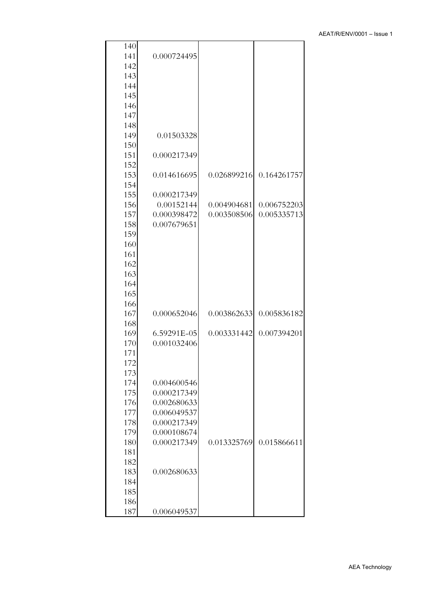| 140 |             |             |             |
|-----|-------------|-------------|-------------|
| 141 | 0.000724495 |             |             |
| 142 |             |             |             |
| 143 |             |             |             |
| 144 |             |             |             |
| 145 |             |             |             |
| 146 |             |             |             |
| 147 |             |             |             |
| 148 |             |             |             |
| 149 | 0.01503328  |             |             |
| 150 |             |             |             |
| 151 | 0.000217349 |             |             |
| 152 |             |             |             |
| 153 | 0.014616695 | 0.026899216 | 0.164261757 |
| 154 |             |             |             |
| 155 | 0.000217349 |             |             |
| 156 | 0.00152144  | 0.004904681 | 0.006752203 |
| 157 | 0.000398472 | 0.003508506 | 0.005335713 |
| 158 | 0.007679651 |             |             |
| 159 |             |             |             |
| 160 |             |             |             |
| 161 |             |             |             |
| 162 |             |             |             |
| 163 |             |             |             |
| 164 |             |             |             |
| 165 |             |             |             |
| 166 |             |             |             |
| 167 | 0.000652046 | 0.003862633 | 0.005836182 |
| 168 |             |             |             |
| 169 | 6.59291E-05 | 0.003331442 | 0.007394201 |
| 170 | 0.001032406 |             |             |
| 171 |             |             |             |
| 172 |             |             |             |
| 173 |             |             |             |
| 174 | 0.004600546 |             |             |
| 175 | 0.000217349 |             |             |
| 176 | 0.002680633 |             |             |
| 177 | 0.006049537 |             |             |
| 178 | 0.000217349 |             |             |
| 179 | 0.000108674 |             |             |
| 180 | 0.000217349 | 0.013325769 | 0.015866611 |
| 181 |             |             |             |
| 182 |             |             |             |
| 183 | 0.002680633 |             |             |
| 184 |             |             |             |
| 185 |             |             |             |
| 186 |             |             |             |
| 187 | 0.006049537 |             |             |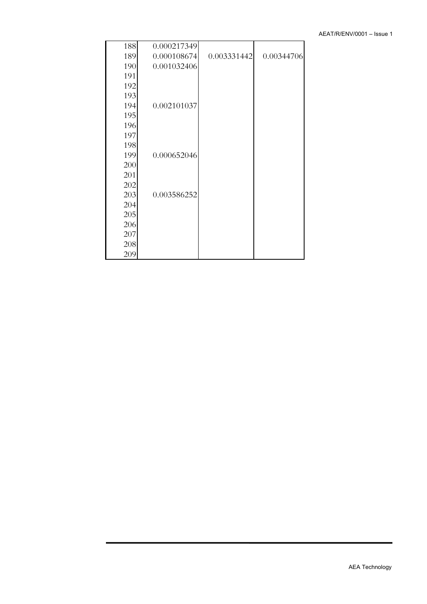| 188 | 0.000217349 |             |            |
|-----|-------------|-------------|------------|
| 189 | 0.000108674 | 0.003331442 | 0.00344706 |
| 190 | 0.001032406 |             |            |
| 191 |             |             |            |
| 192 |             |             |            |
| 193 |             |             |            |
| 194 | 0.002101037 |             |            |
| 195 |             |             |            |
| 196 |             |             |            |
| 197 |             |             |            |
| 198 |             |             |            |
| 199 | 0.000652046 |             |            |
| 200 |             |             |            |
| 201 |             |             |            |
| 202 |             |             |            |
| 203 | 0.003586252 |             |            |
| 204 |             |             |            |
| 205 |             |             |            |
| 206 |             |             |            |
| 207 |             |             |            |
| 208 |             |             |            |
| 209 |             |             |            |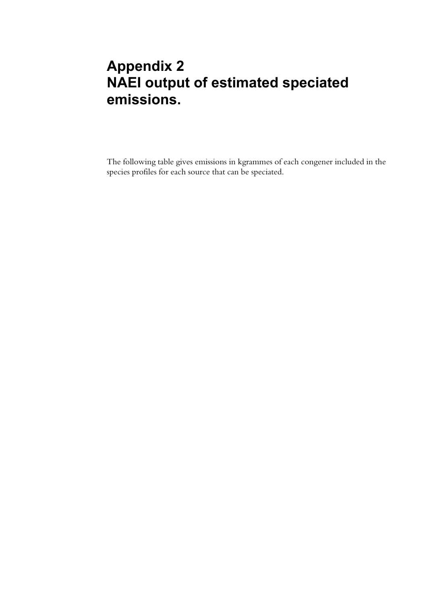## **Appendix 2 NAEI output of estimated speciated emissions.**

The following table gives emissions in kgrammes of each congener included in the species profiles for each source that can be speciated.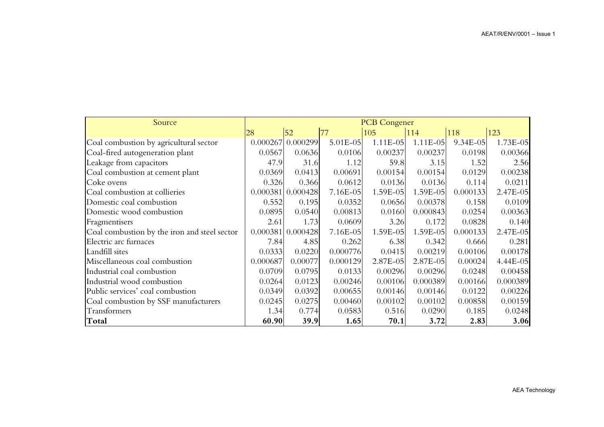| Source                                       | <b>PCB Congener</b> |                     |          |               |              |              |              |
|----------------------------------------------|---------------------|---------------------|----------|---------------|--------------|--------------|--------------|
|                                              | 28                  | 52                  |          | 105           | 114          | <b>118</b>   | 123          |
| Coal combustion by agricultural sector       |                     | $0.000267$ 0.000299 | 5.01E-05 | $1.11E-05$    | 1.11E-05     | $9.34E - 05$ | $1.73E - 05$ |
| Coal-fired autogeneration plant              | 0.0567              | 0.0636              | 0.0106   | 0.00237       | 0.00237      | 0.0198       | 0.00366      |
| Leakage from capacitors                      | 47.9                | 31.6                | 1.12     | 59.8          | 3.15         | 1.52         | 2.56         |
| Coal combustion at cement plant              | 0.0369              | 0.0413              | 0.00691  | 0.00154       | 0.00154      | 0.0129       | 0.00238      |
| Coke ovens                                   | 0.326               | 0.366               | 0.0612   | 0.0136        | 0.0136       | 0.114        | 0.0211       |
| Coal combustion at collieries                |                     | 0.000381   0.000428 | 7.16E-05 | $1.59E - 05$  | $1.59E - 05$ | 0.000133     | $2.47E - 05$ |
| Domestic coal combustion                     | 0.552               | 0.195               | 0.0352   | 0.0656        | 0.00378      | 0.158        | 0.0109       |
| Domestic wood combustion                     | 0.0895              | 0.0540              | 0.00813  | 0.0160        | 0.000843     | 0.0254       | 0.00363      |
| Fragmentisers                                | 2.61                | 1.73                | 0.0609   | 3.26          | 0.172        | 0.0828       | 0.140        |
| Coal combustion by the iron and steel sector |                     | 0.000381   0.000428 | 7.16E-05 | $1.59E - 05$  | $1.59E - 05$ | 0.000133     | 2.47E-05     |
| Electric arc furnaces                        | 7.84                | 4.85                | 0.262    | 6.38          | 0.342        | 0.666        | 0.281        |
| Landfill sites                               | 0.0333              | 0.0220              | 0.000776 | 0.0415        | 0.00219      | 0.00106      | 0.00178      |
| Miscellaneous coal combustion                | 0.000687            | 0.00077             | 0.000129 | $2.87E - 0.5$ | $2.87E - 05$ | 0.00024      | 4.44E-05     |
| Industrial coal combustion                   | 0.0709              | 0.0795              | 0.0133   | 0.00296       | 0.00296      | 0.0248       | 0.00458      |
| Industrial wood combustion                   | 0.0264              | 0.0123              | 0.00246  | 0.00106       | 0.000389     | 0.00166      | 0.000389     |
| Public services' coal combustion             | 0.0349              | 0.0392              | 0.00655  | 0.00146       | 0.00146      | 0.0122       | 0.00226      |
| Coal combustion by SSF manufacturers         | 0.0245              | 0.0275              | 0.00460  | 0.00102       | 0.00102      | 0.00858      | 0.00159      |
| Transformers                                 | 1.34                | 0.774               | 0.0583   | 0.516         | 0.0290       | 0.185        | 0.0248       |
| Total                                        | 60.90               | 39.9                | 1.65     | 70.1          | 3.72         | 2.83         | 3.06         |